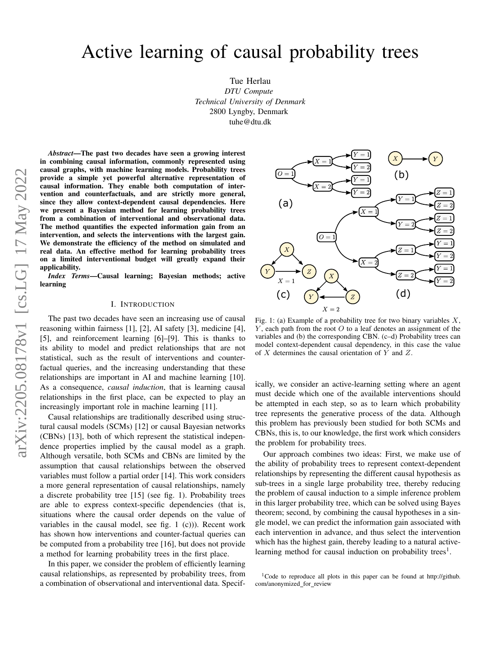Tue Herlau *DTU Compute Technical University of Denmark* 2800 Lyngby, Denmark tuhe@dtu.dk

*Abstract*—The past two decades have seen a growing interest in combining causal information, commonly represented using causal graphs, with machine learning models. Probability trees provide a simple yet powerful alternative representation of causal information. They enable both computation of intervention and counterfactuals, and are strictly more general, since they allow context-dependent causal dependencies. Here we present a Bayesian method for learning probability trees from a combination of interventional and observational data. The method quantifies the expected information gain from an intervention, and selects the interventions with the largest gain. We demonstrate the efficiency of the method on simulated and real data. An effective method for learning probability trees on a limited interventional budget will greatly expand their applicability.

*Index Terms*—Causal learning; Bayesian methods; active learning

#### I. INTRODUCTION

The past two decades have seen an increasing use of causal reasoning within fairness [\[1\]](#page-6-0), [\[2\]](#page-6-1), AI safety [\[3\]](#page-6-2), medicine [\[4\]](#page-6-3), [\[5\]](#page-6-4), and reinforcement learning [\[6\]](#page-6-5)–[\[9\]](#page-6-6). This is thanks to its ability to model and predict relationships that are not statistical, such as the result of interventions and counterfactual queries, and the increasing understanding that these relationships are important in AI and machine learning [\[10\]](#page-6-7). As a consequence, *causal induction*, that is learning causal relationships in the first place, can be expected to play an increasingly important role in machine learning [\[11\]](#page-6-8).

Causal relationships are traditionally described using structural causal models (SCMs) [\[12\]](#page-6-9) or causal Bayesian networks (CBNs) [\[13\]](#page-6-10), both of which represent the statistical independence properties implied by the causal model as a graph. Although versatile, both SCMs and CBNs are limited by the assumption that causal relationships between the observed variables must follow a partial order [\[14\]](#page-6-11). This work considers a more general representation of causal relationships, namely a discrete probability tree [\[15\]](#page-6-12) (see fig. [1\)](#page-0-0). Probability trees are able to express context-specific dependencies (that is, situations where the causal order depends on the value of variables in the causal model, see fig. [1](#page-0-0) (c))). Recent work has shown how interventions and counter-factual queries can be computed from a probability tree [\[16\]](#page-6-13), but does not provide a method for learning probability trees in the first place.

In this paper, we consider the problem of efficiently learning causal relationships, as represented by probability trees, from a combination of observational and interventional data. Specif-

<span id="page-0-0"></span>

Fig. 1: (a) Example of a probability tree for two binary variables  $X$ ,  $Y$ , each path from the root  $O$  to a leaf denotes an assignment of the variables and (b) the corresponding CBN. (c–d) Probability trees can model context-dependent causal dependency, in this case the value of X determines the causal orientation of Y and Z.

ically, we consider an active-learning setting where an agent must decide which one of the available interventions should be attempted in each step, so as to learn which probability tree represents the generative process of the data. Although this problem has previously been studied for both SCMs and CBNs, this is, to our knowledge, the first work which considers the problem for probability trees.

Our approach combines two ideas: First, we make use of the ability of probability trees to represent context-dependent relationships by representing the different causal hypothesis as sub-trees in a single large probability tree, thereby reducing the problem of causal induction to a simple inference problem in this larger probability tree, which can be solved using Bayes theorem; second, by combining the causal hypotheses in a single model, we can predict the information gain associated with each intervention in advance, and thus select the intervention which has the highest gain, thereby leading to a natural active-learning method for causal induction on probability trees<sup>[1](#page-0-1)</sup>.

<span id="page-0-1"></span><sup>&</sup>lt;sup>1</sup>Code to reproduce all plots in this paper can be found at [http://github.](http://github.com/anonymized_for_review) [com/anonymized](http://github.com/anonymized_for_review) for review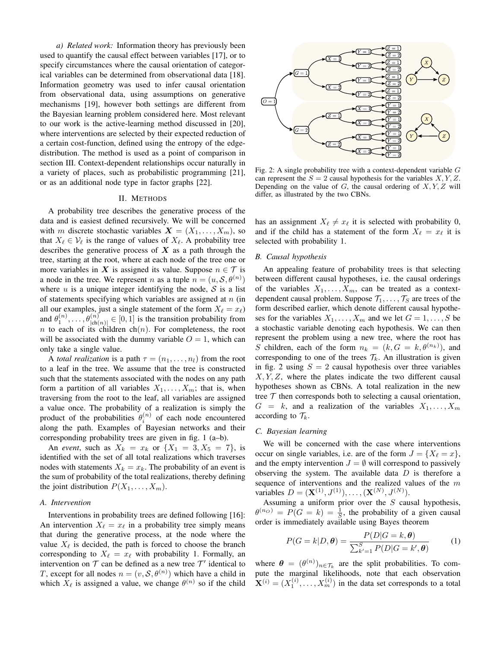*a) Related work:* Information theory has previously been used to quantify the causal effect between variables [\[17\]](#page-6-14), or to specify circumstances where the causal orientation of categorical variables can be determined from observational data [\[18\]](#page-6-15). Information geometry was used to infer causal orientation from observational data, using assumptions on generative mechanisms [\[19\]](#page-6-16), however both settings are different from the Bayesian learning problem considered here. Most relevant to our work is the active-learning method discussed in [\[20\]](#page-6-17), where interventions are selected by their expected reduction of a certain cost-function, defined using the entropy of the edgedistribution. The method is used as a point of comparison in section [III.](#page-3-0) Context-dependent relationships occur naturally in a variety of places, such as probabilistic programming [\[21\]](#page-6-18), or as an additional node type in factor graphs [\[22\]](#page-6-19).

## II. METHODS

A probability tree describes the generative process of the data and is easiest defined recursively. We will be concerned with m discrete stochastic variables  $X = (X_1, \ldots, X_m)$ , so that  $X_\ell \in \mathcal{V}_\ell$  is the range of values of  $X_\ell$ . A probability tree describes the generative process of  $X$  as a path through the tree, starting at the root, where at each node of the tree one or more variables in X is assigned its value. Suppose  $n \in \mathcal{T}$  is a node in the tree. We represent *n* as a tuple  $n = (u, \mathcal{S}, \theta^{(n)})$ where  $u$  is a unique integer identifying the node,  $S$  is a list of statements specifying which variables are assigned at  $n$  (in all our examples, just a single statement of the form  $X_\ell = x_\ell$ ) and  $\theta_1^{(n)}, \ldots, \theta_{|\text{ch}(n)|}^{(n)} \in [0, 1]$  is the transition probability from n to each of its children ch $(n)$ . For completeness, the root will be associated with the dummy variable  $O = 1$ , which can only take a single value.

A *total realization* is a path  $\tau = (n_1, \ldots, n_l)$  from the root to a leaf in the tree. We assume that the tree is constructed such that the statements associated with the nodes on any path form a partition of all variables  $X_1, \ldots, X_m$ ; that is, when traversing from the root to the leaf, all variables are assigned a value once. The probability of a realization is simply the product of the probabilities  $\theta_i^{(n)}$  of each node encountered along the path. Examples of Bayesian networks and their corresponding probability trees are given in fig. [1](#page-0-0) (a–b).

An *event*, such as  $X_k = x_k$  or  $\{X_1 = 3, X_5 = 7\}$ , is identified with the set of all total realizations which traverses nodes with statements  $X_k = x_k$ . The probability of an event is the sum of probability of the total realizations, thereby defining the joint distribution  $P(X_1, \ldots, X_m)$ .

### <span id="page-1-1"></span>*A. Intervention*

Interventions in probability trees are defined following [\[16\]](#page-6-13): An intervention  $X_\ell = x_\ell$  in a probability tree simply means that during the generative process, at the node where the value  $X_\ell$  is decided, the path is forced to choose the branch corresponding to  $X_\ell = x_\ell$  with probability 1. Formally, an intervention on  $T$  can be defined as a new tree  $T'$  identical to T, except for all nodes  $n = (v, \mathcal{S}, \theta^{(n)})$  which have a child in which  $X_{\ell}$  is assigned a value, we change  $\theta^{(n)}$  so if the child

<span id="page-1-0"></span>

Fig. 2: A single probability tree with a context-dependent variable  $G$ can represent the  $S = 2$  causal hypothesis for the variables X, Y, Z. Depending on the value of  $G$ , the causal ordering of  $X, Y, Z$  will differ, as illustrated by the two CBNs.

has an assignment  $X_{\ell} \neq x_{\ell}$  it is selected with probability 0, and if the child has a statement of the form  $X_\ell = x_\ell$  it is selected with probability 1.

# *B. Causal hypothesis*

An appealing feature of probability trees is that selecting between different causal hypotheses, i.e. the causal orderings of the variables  $X_1, \ldots, X_m$ , can be treated as a contextdependent causal problem. Suppose  $\mathcal{T}_1, \ldots, \mathcal{T}_S$  are trees of the form described earlier, which denote different causal hypotheses for the variables  $X_1, \ldots, X_m$  and we let  $G = 1, \ldots, S$  be a stochastic variable denoting each hypothesis. We can then represent the problem using a new tree, where the root has S children, each of the form  $n_k = (k, G = k, \theta^{(n_k)})$ , and corresponding to one of the trees  $\mathcal{T}_k$ . An illustration is given in fig. [2](#page-1-0) using  $S = 2$  causal hypothesis over three variables  $X, Y, Z$ , where the plates indicate the two different causal hypotheses shown as CBNs. A total realization in the new tree  $T$  then corresponds both to selecting a causal orientation,  $G = k$ , and a realization of the variables  $X_1, \ldots, X_m$ according to  $\mathcal{T}_k$ .

## *C. Bayesian learning*

We will be concerned with the case where interventions occur on single variables, i.e. are of the form  $J = \{X_\ell = x\},\$ and the empty intervention  $J = \emptyset$  will correspond to passively observing the system. The available data  $D$  is therefore a sequence of interventions and the realized values of the  $m$ variables  $D = (\mathbf{X}^{(1)}, J^{(1)}), \dots, (\mathbf{X}^{(N)}, J^{(N)}).$ 

Assuming a uniform prior over the  $S$  causal hypothesis,  $\theta^{(n_0)} = P(G = k) = \frac{1}{S}$ , the probability of a given causal order is immediately available using Bayes theorem

<span id="page-1-2"></span>
$$
P(G=k|D,\boldsymbol{\theta}) = \frac{P(D|G=k,\boldsymbol{\theta})}{\sum_{k'=1}^{S} P(D|G=k',\boldsymbol{\theta})}
$$
(1)

where  $\theta = (\theta^{(n)})_{n \in \mathcal{T}_k}$  are the split probabilities. To compute the marginal likelihoods, note that each observation  $\mathbf{X}^{(i)} = (X_1^{(i)}, \dots, X_m^{(i)})$  in the data set corresponds to a total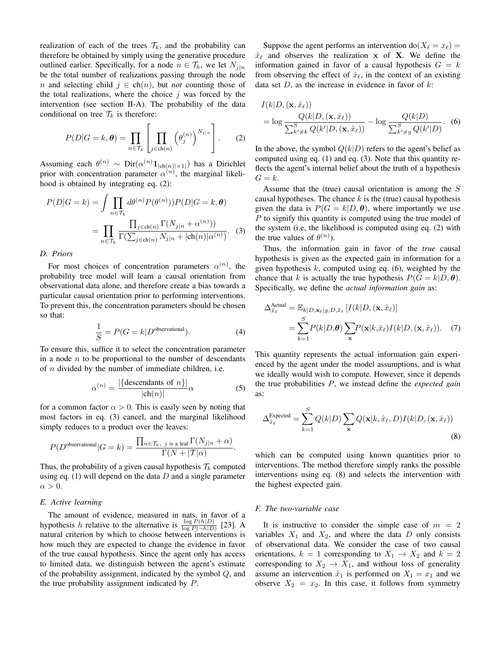realization of each of the trees  $\mathcal{T}_k$ , and the probability can therefore be obtained by simply using the generative procedure outlined earlier. Specifically, for a node  $n \in \mathcal{T}_k$ , we let  $N_{i|n}$ be the total number of realizations passing through the node n and selecting child  $j \in \text{ch}(n)$ , but *not* counting those of the total realizations, where the choice  $j$  was forced by the intervention (see section [II-A\)](#page-1-1). The probability of the data conditional on tree  $\mathcal{T}_k$  is therefore:

$$
P(D|G=k, \theta) = \prod_{n \in \mathcal{T}_k} \left[ \prod_{j \in \text{ch}(n)} \left( \theta_j^{(n)} \right)^{N_{j|n}} \right].
$$
 (2)

Assuming each  $\theta^{(n)} \sim \text{Dir}(\alpha^{(n)} \mathbf{1}_{|\text{ch}(n)| \times 1|})$  has a Dirichlet prior with concentration parameter  $\alpha^{(n)}$ , the marginal likelihood is obtained by integrating eq. [\(2\)](#page-2-0):

$$
P(D|G=k) = \int \prod_{n \in \mathcal{T}_k} d\theta^{(n)} P(\theta^{(n)})) P(D|G=k, \theta)
$$

$$
= \prod_{n \in \mathcal{T}_k} \frac{\prod_{j \in \text{ch}(n)} \Gamma(N_{j|n} + \alpha^{(n)}))}{\Gamma(\sum_{j \in \text{ch}(n)} N_{j|n} + |\text{ch}(n)|\alpha^{(n)})}. \quad (3)
$$

#### *D. Priors*

For most choices of concentration parameters  $\alpha^{(n)}$ , the probability tree model will learn a causal orientation from observational data alone, and therefore create a bias towards a particular causal orientation prior to performing interventions. To prevent this, the concentration parameters should be chosen so that:

$$
\frac{1}{S} = P(G = k | D^{\text{observational}}). \tag{4}
$$

To ensure this, suffice it to select the concentration parameter in a node  $n$  to be proportional to the number of descendants of  $n$  divided by the number of immediate children, i.e.

$$
\alpha^{(n)} = \frac{|\{\text{descendants of } n\}|}{|\text{ch}(n)|} \alpha
$$
 (5)

for a common factor  $\alpha > 0$ . This is easily seen by noting that most factors in eq. [\(3\)](#page-2-1) cancel, and the marginal likelihood simply reduces to a product over the leaves:

$$
P(D^{\text{observational}}|G=k) = \frac{\prod_{n \in \mathcal{T}_k, j \text{ is a leaf}} \Gamma(N_{j|n} + \alpha)}{\Gamma(N + |\mathcal{T}|\alpha)}.
$$

Thus, the probability of a given causal hypothesis  $\mathcal{T}_k$  computed using eq.  $(1)$  will depend on the data  $D$  and a single parameter  $\alpha > 0$ .

#### *E. Active learning*

The amount of evidence, measured in nats, in favor of a hypothesis h relative to the alternative is  $\frac{\log P(h|D)}{\log P(\neg h|D)}$  [\[23\]](#page-6-20). A natural criterion by which to choose between interventions is how much they are expected to change the evidence in favor of the true causal hypothesis. Since the agent only has access to limited data, we distinguish between the agent's estimate of the probability assignment, indicated by the symbol Q, and the true probability assignment indicated by P.

Suppose the agent performs an intervention do( $X_\ell = x_\ell$ ) =  $\hat{x}_{\ell}$  and observes the realization x of X. We define the information gained in favor of a causal hypothesis  $G = k$ from observing the effect of  $\hat{x}_\ell$ , in the context of an existing data set  $D$ , as the increase in evidence in favor of  $k$ :

<span id="page-2-2"></span>
$$
I(k|D, (\mathbf{x}, \hat{x}_\ell))
$$
  
= log  $\frac{Q(k|D, (\mathbf{x}, \hat{x}_\ell))}{\sum_{k'\neq k}^{S} Q(k'|D, (\mathbf{x}, \hat{x}_\ell))}$  – log  $\frac{Q(k|D)}{\sum_{k'\neq g}^{S} Q(k'|D)}$ . (6)

<span id="page-2-0"></span>In the above, the symbol  $Q(k|D)$  refers to the agent's belief as computed using eq. [\(1\)](#page-1-2) and eq. [\(3\)](#page-2-1). Note that this quantity reflects the agent's internal belief about the truth of a hypothesis  $G = k$ .

Assume that the (true) causal orientation is among the S causal hypotheses. The chance  $k$  is the (true) causal hypothesis given the data is  $P(G = k | D, \theta)$ , where importantly we use P to signify this quantity is computed using the true model of the system (i.e, the likelihood is computed using eq. [\(2\)](#page-2-0) with the true values of  $\theta^{(n)}$ ).

<span id="page-2-1"></span>Thus, the information gain in favor of the *true* causal hypothesis is given as the expected gain in information for a given hypothesis  $k$ , computed using eq. [\(6\)](#page-2-2), weighted by the chance that k is actually the true hypothesis  $P(G = k | D, \theta)$ . Specifically, we define the *actual information gain* as:

<span id="page-2-4"></span>
$$
\Delta_{\hat{x}_{\ell}}^{\text{Actual}} = \mathbb{E}_{k|D, \mathbf{x}_{\ell}|g, D, \hat{x}_{\ell}} [I(k|D, (\mathbf{x}, \hat{x}_{\ell})]
$$

$$
= \sum_{k=1}^{S} P(k|D, \theta) \sum_{\mathbf{x}} P(\mathbf{x}|k, \hat{x}_{\ell}) I(k|D, (\mathbf{x}, \hat{x}_{\ell})). \quad (7)
$$

This quantity represents the actual information gain experienced by the agent under the model assumptions, and is what we ideally would wish to compute. However, since it depends the true probabilities P, we instead define the *expected gain* as:

<span id="page-2-3"></span>
$$
\Delta_{\hat{x}_{\ell}}^{\text{Expected}} = \sum_{k=1}^{S} Q(k|D) \sum_{\mathbf{x}} Q(\mathbf{x}|k, \hat{x}_{\ell}, D) I(k|D, (\mathbf{x}, \hat{x}_{\ell}))
$$
\n(8)

which can be computed using known quantities prior to interventions. The method therefore simply ranks the possible interventions using eq. [\(8\)](#page-2-3) and selects the intervention with the highest expected gain.

### *F. The two-variable case*

It is instructive to consider the simple case of  $m = 2$ variables  $X_1$  and  $X_2$ , and where the data D only consists of observational data. We consider the case of two causal orientations,  $k = 1$  corresponding to  $X_1 \rightarrow X_2$  and  $k = 2$ corresponding to  $X_2 \rightarrow X_1$ , and without loss of generality assume an intervention  $\hat{x}_1$  is performed on  $X_1 = x_1$  and we observe  $X_2 = x_2$ . In this case, it follows from symmetry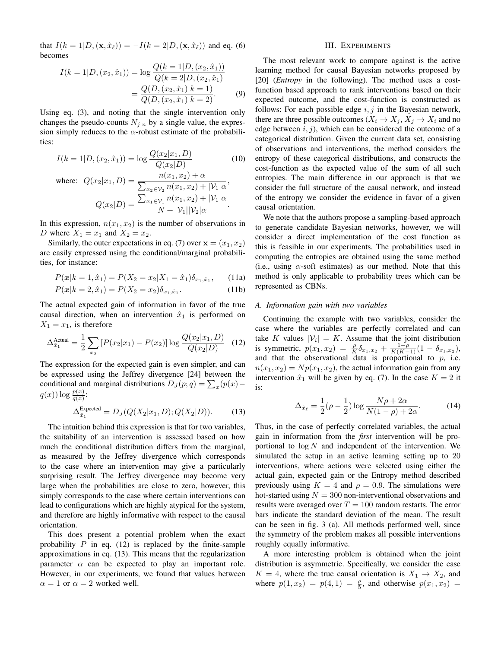that  $I(k = 1|D, (\mathbf{x}, \hat{x}_\ell)) = -I(k = 2|D, (\mathbf{x}, \hat{x}_\ell))$  and eq. [\(6\)](#page-2-2) becomes

$$
I(k = 1|D, (x_2, \hat{x}_1)) = \log \frac{Q(k = 1|D, (x_2, \hat{x}_1))}{Q(k = 2|D, (x_2, \hat{x}_1))}
$$

$$
= \frac{Q(D, (x_2, \hat{x}_1)|k = 1)}{Q(D, (x_2, \hat{x}_1)|k = 2)}.
$$
(9)

Using eq. [\(3\)](#page-2-1), and noting that the single intervention only changes the pseudo-counts  $N_{j|n}$  by a single value, the expression simply reduces to the  $\alpha$ -robust estimate of the probabilities:

$$
I(k = 1|D, (x_2, \hat{x}_1)) = \log \frac{Q(x_2|x_1, D)}{Q(x_2|D)}
$$
(10)  
where: 
$$
Q(x_2|x_1, D) = \frac{n(x_1, x_2) + \alpha}{\sum_{x_2 \in \mathcal{V}_2} n(x_1, x_2) + |\mathcal{V}_1|\alpha},
$$

$$
Q(x_2|D) = \frac{\sum_{x_1 \in \mathcal{V}_1} n(x_1, x_2) + |\mathcal{V}_1| \alpha}{N + |\mathcal{V}_1||\mathcal{V}_2| \alpha}.
$$

In this expression,  $n(x_1, x_2)$  is the number of observations in D where  $X_1 = x_1$  and  $X_2 = x_2$ .

Similarly, the outer expectations in eq. [\(7\)](#page-2-4) over  $\mathbf{x} = (x_1, x_2)$ are easily expressed using the conditional/marginal probabilities, for instance:

$$
P(\mathbf{x}|k=1,\hat{x}_1) = P(X_2 = x_2|X_1 = \hat{x}_1)\delta_{x_1,\hat{x}_1},\qquad(11a)
$$

$$
P(\mathbf{x}|k=2,\hat{x}_1) = P(X_2 = x_2)\delta_{x_1,\hat{x}_1}.\tag{11b}
$$

The actual expected gain of information in favor of the true causal direction, when an intervention  $\hat{x}_1$  is performed on  $X_1 = x_1$ , is therefore

$$
\Delta_{\hat{x}_1}^{\text{Actual}} = \frac{1}{2} \sum_{x_2} \left[ P(x_2 | x_1) - P(x_2) \right] \log \frac{Q(x_2 | x_1, D)}{Q(x_2 | D)} \tag{12}
$$

The expression for the expected gain is even simpler, and can be expressed using the Jeffrey divergence [\[24\]](#page-6-21) between the conditional and marginal distributions  $D_J(p; q) = \sum_x (p(x) - p)$  $q(x))\log\frac{p(x)}{q(x)}$ :

$$
\Delta_{\hat{x}_1}^{\text{Expected}} = D_J(Q(X_2|x_1, D); Q(X_2|D)).\tag{13}
$$

The intuition behind this expression is that for two variables, the suitability of an intervention is assessed based on how much the conditional distribution differs from the marginal, as measured by the Jeffrey divergence which corresponds to the case where an intervention may give a particularly surprising result. The Jeffrey divergence may become very large when the probabilities are close to zero, however, this simply corresponds to the case where certain interventions can lead to configurations which are highly atypical for the system, and therefore are highly informative with respect to the causal orientation.

This does present a potential problem when the exact probability  $P$  in eq. [\(12\)](#page-3-1) is replaced by the finite-sample approximations in eq. [\(13\)](#page-3-2). This means that the regularization parameter  $\alpha$  can be expected to play an important role. However, in our experiments, we found that values between  $\alpha = 1$  or  $\alpha = 2$  worked well.

## III. EXPERIMENTS

<span id="page-3-0"></span>The most relevant work to compare against is the active learning method for causal Bayesian networks proposed by [\[20\]](#page-6-17) (*Entropy* in the following). The method uses a costfunction based approach to rank interventions based on their expected outcome, and the cost-function is constructed as follows: For each possible edge  $i, j$  in the Bayesian network, there are three possible outcomes  $(X_i \to X_j, X_j \to X_i$  and no edge between  $i, j$ ), which can be considered the outcome of a categorical distribution. Given the current data set, consisting of observations and interventions, the method considers the entropy of these categorical distributions, and constructs the cost-function as the expected value of the sum of all such entropies. The main difference in our approach is that we consider the full structure of the causal network, and instead of the entropy we consider the evidence in favor of a given causal orientation.

We note that the authors propose a sampling-based approach to generate candidate Bayesian networks, however, we will consider a direct implementation of the cost function as this is feasible in our experiments. The probabilities used in computing the entropies are obtained using the same method (i.e., using  $\alpha$ -soft estimates) as our method. Note that this method is only applicable to probability trees which can be represented as CBNs.

# <span id="page-3-3"></span>*A. Information gain with two variables*

<span id="page-3-1"></span>Continuing the example with two variables, consider the case where the variables are perfectly correlated and can take K values  $|\mathcal{V}_i| = K$ . Assume that the joint distribution is symmetric,  $p(x_1, x_2) = \frac{\rho}{K} \delta_{x_1, x_2} + \frac{1-\rho}{K(K-1)} (1 - \delta_{x_1, x_2}),$ and that the observational data is proportional to  $p$ , i.e.  $n(x_1, x_2) = Np(x_1, x_2)$ , the actual information gain from any intervention  $\hat{x}_1$  will be given by eq. [\(7\)](#page-2-4). In the case  $K = 2$  it is:

$$
\Delta_{\hat{x}_\ell} = \frac{1}{2} (\rho - \frac{1}{2}) \log \frac{N\rho + 2\alpha}{N(1 - \rho) + 2\alpha}.
$$
 (14)

<span id="page-3-2"></span>Thus, in the case of perfectly correlated variables, the actual gain in information from the *first* intervention will be proportional to  $\log N$  and independent of the intervention. We simulated the setup in an active learning setting up to 20 interventions, where actions were selected using either the actual gain, expected gain or the Entropy method described previously using  $K = 4$  and  $\rho = 0.9$ . The simulations were hot-started using  $N = 300$  non-interventional observations and results were averaged over  $T = 100$  random restarts. The error bars indicate the standard deviation of the mean. The result can be seen in fig. [3](#page-4-0) (a). All methods performed well, since the symmetry of the problem makes all possible interventions roughly equally informative.

A more interesting problem is obtained when the joint distribution is asymmetric. Specifically, we consider the case  $K = 4$ , where the true causal orientation is  $X_1 \rightarrow X_2$ , and where  $p(1, x_2) = p(4, 1) = \frac{\rho}{5}$ , and otherwise  $p(x_1, x_2) =$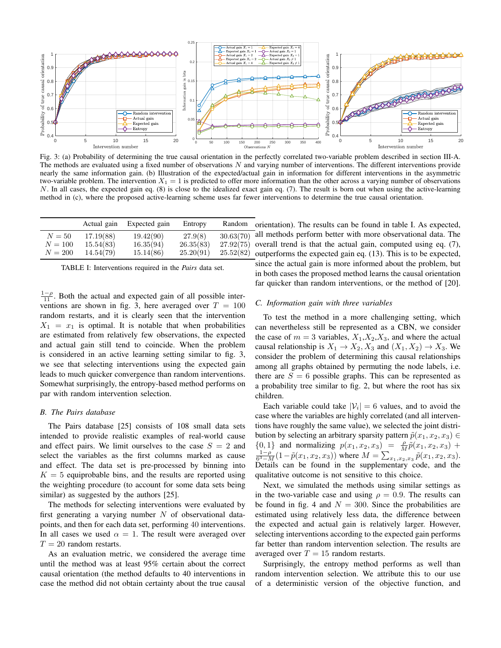<span id="page-4-0"></span>

Fig. 3: (a) Probability of determining the true causal orientation in the perfectly correlated two-variable problem described in section [III-A.](#page-3-3) The methods are evaluated using a fixed number of observations  $N$  and varying number of interventions. The different interventions provide nearly the same information gain. (b) Illustration of the expected/actual gain in information for different interventions in the asymmetric two-variable problem. The intervention  $X_1 = 1$  is predicted to offer more information than the other across a varying number of observations N. In all cases, the expected gain eq. [\(8\)](#page-2-3) is close to the idealized exact gain eq. [\(7\)](#page-2-4). The result is born out when using the active-learning method in (c), where the proposed active-learning scheme uses far fewer interventions to determine the true causal orientation.

<span id="page-4-1"></span>

|         | Actual gain | Expected gain | Entropy   | Random    |
|---------|-------------|---------------|-----------|-----------|
| $N=50$  | 17.19(88)   | 19.42(90)     | 27.9(8)   | 30.63(70) |
| $N=100$ | 15.54(83)   | 16.35(94)     | 26.35(83) | 27.92(75) |
| $N=200$ | 14.54(79)   | 15.14(86)     | 25.20(91) | 25.52(82) |

| TABLE I: Interventions required in the <i>Pairs</i> data set. |  |  |  |  |  |  |  |
|---------------------------------------------------------------|--|--|--|--|--|--|--|
|---------------------------------------------------------------|--|--|--|--|--|--|--|

 $\frac{1-\rho}{11}$ . Both the actual and expected gain of all possible inter-ventions are shown in fig. [3,](#page-4-0) here averaged over  $T = 100$ random restarts, and it is clearly seen that the intervention  $X_1 = x_1$  is optimal. It is notable that when probabilities are estimated from relatively few observations, the expected and actual gain still tend to coincide. When the problem is considered in an active learning setting similar to fig. [3,](#page-4-0) we see that selecting interventions using the expected gain leads to much quicker convergence than random interventions. Somewhat surprisingly, the entropy-based method performs on par with random intervention selection.

#### *B. The Pairs database*

The Pairs database [\[25\]](#page-6-22) consists of 108 small data sets intended to provide realistic examples of real-world cause and effect pairs. We limit ourselves to the case  $S = 2$  and select the variables as the first columns marked as cause and effect. The data set is pre-processed by binning into  $K = 5$  equiprobable bins, and the results are reported using the weighting procedure (to account for some data sets being similar) as suggested by the authors [\[25\]](#page-6-22).

The methods for selecting interventions were evaluated by first generating a varying number  $N$  of observational datapoints, and then for each data set, performing 40 interventions. In all cases we used  $\alpha = 1$ . The result were averaged over  $T = 20$  random restarts.

As an evaluation metric, we considered the average time until the method was at least 95% certain about the correct causal orientation (the method defaults to 40 interventions in case the method did not obtain certainty about the true causal orientation). The results can be found in table [I.](#page-4-1) As expected, all methods perform better with more observational data. The overall trend is that the actual gain, computed using eq. [\(7\)](#page-2-4), outperforms the expected gain eq. [\(13\)](#page-3-2). This is to be expected, since the actual gain is more informed about the problem, but in both cases the proposed method learns the causal orientation far quicker than random interventions, or the method of [\[20\]](#page-6-17).

### *C. Information gain with three variables*

To test the method in a more challenging setting, which can nevertheless still be represented as a CBN, we consider the case of  $m = 3$  variables,  $X_1, X_2, X_3$ , and where the actual causal relationship is  $X_1 \rightarrow X_2, X_3$  and  $(X_1, X_2) \rightarrow X_3$ . We consider the problem of determining this causal relationships among all graphs obtained by permuting the node labels, i.e. there are  $S = 6$  possible graphs. This can be represented as a probability tree similar to fig. [2,](#page-1-0) but where the root has six children.

Each variable could take  $|\mathcal{V}_i| = 6$  values, and to avoid the case where the variables are highly correlated (and all interventions have roughly the same value), we selected the joint distribution by selecting an arbitrary sparsity pattern  $\tilde{p}(x_1, x_2, x_3) \in$  ${0, 1}$  and normalizing  $p(x_1, x_2, x_3) = \frac{\rho}{M} \tilde{p}(x_1, x_2, x_3) + \frac{1-\rho}{6^3 - M} (1-\tilde{p}(x_1, x_2, x_3))$  where  $M = \sum_{x_1, x_2, x_3} \tilde{p}(x_1, x_2, x_3)$ . Details can be found in the supplementary code, and the qualitative outcome is not sensitive to this choice.

Next, we simulated the methods using similar settings as in the two-variable case and using  $\rho = 0.9$ . The results can be found in fig. [4](#page-5-0) and  $N = 300$ . Since the probabilities are estimated using relatively less data, the difference between the expected and actual gain is relatively larger. However, selecting interventions according to the expected gain performs far better than random intervention selection. The results are averaged over  $T = 15$  random restarts.

Surprisingly, the entropy method performs as well than random intervention selection. We attribute this to our use of a deterministic version of the objective function, and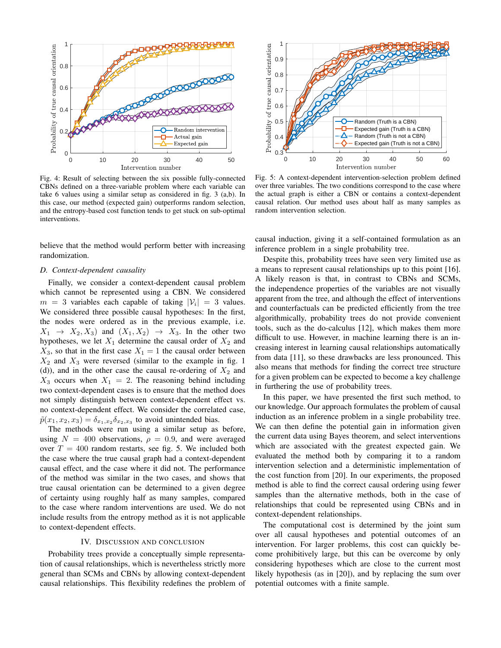<span id="page-5-0"></span>

Fig. 4: Result of selecting between the six possible fully-connected CBNs defined on a three-variable problem where each variable can take 6 values using a similar setup as considered in fig. [3](#page-4-0) (a,b). In this case, our method (expected gain) outperforms random selection, and the entropy-based cost function tends to get stuck on sub-optimal interventions.

believe that the method would perform better with increasing randomization.

## *D. Context-dependent causality*

Finally, we consider a context-dependent causal problem which cannot be represented using a CBN. We considered  $m = 3$  variables each capable of taking  $|\mathcal{V}_i| = 3$  values. We considered three possible causal hypotheses: In the first, the nodes were ordered as in the previous example, i.e.  $X_1 \rightarrow X_2, X_3$  and  $(X_1, X_2) \rightarrow X_3$ . In the other two hypotheses, we let  $X_1$  determine the causal order of  $X_2$  and  $X_3$ , so that in the first case  $X_1 = 1$  the causal order between  $X_2$  and  $X_3$  were reversed (similar to the example in fig. [1](#page-0-0) (d)), and in the other case the causal re-ordering of  $X_2$  and  $X_3$  occurs when  $X_1 = 2$ . The reasoning behind including two context-dependent cases is to ensure that the method does not simply distinguish between context-dependent effect vs. no context-dependent effect. We consider the correlated case,  $\tilde{p}(x_1, x_2, x_3) = \delta_{x_1, x_2} \delta_{x_2, x_3}$  to avoid unintended bias.

The methods were run using a similar setup as before, using  $N = 400$  observations,  $\rho = 0.9$ , and were averaged over  $T = 400$  random restarts, see fig. [5.](#page-5-1) We included both the case where the true causal graph had a context-dependent causal effect, and the case where it did not. The performance of the method was similar in the two cases, and shows that true causal orientation can be determined to a given degree of certainty using roughly half as many samples, compared to the case where random interventions are used. We do not include results from the entropy method as it is not applicable to context-dependent effects.

#### IV. DISCUSSION AND CONCLUSION

Probability trees provide a conceptually simple representation of causal relationships, which is nevertheless strictly more general than SCMs and CBNs by allowing context-dependent causal relationships. This flexibility redefines the problem of

<span id="page-5-1"></span>

Fig. 5: A context-dependent intervention-selection problem defined over three variables. The two conditions correspond to the case where the actual graph is either a CBN or contains a context-dependent causal relation. Our method uses about half as many samples as random intervention selection.

causal induction, giving it a self-contained formulation as an inference problem in a single probability tree.

Despite this, probability trees have seen very limited use as a means to represent causal relationships up to this point [\[16\]](#page-6-13). A likely reason is that, in contrast to CBNs and SCMs, the independence properties of the variables are not visually apparent from the tree, and although the effect of interventions and counterfactuals can be predicted efficiently from the tree algorithmically, probability trees do not provide convenient tools, such as the do-calculus [\[12\]](#page-6-9), which makes them more difficult to use. However, in machine learning there is an increasing interest in learning causal relationships automatically from data [\[11\]](#page-6-8), so these drawbacks are less pronounced. This also means that methods for finding the correct tree structure for a given problem can be expected to become a key challenge in furthering the use of probability trees.

In this paper, we have presented the first such method, to our knowledge. Our approach formulates the problem of causal induction as an inference problem in a single probability tree. We can then define the potential gain in information given the current data using Bayes theorem, and select interventions which are associated with the greatest expected gain. We evaluated the method both by comparing it to a random intervention selection and a deterministic implementation of the cost function from [\[20\]](#page-6-17). In our experiments, the proposed method is able to find the correct causal ordering using fewer samples than the alternative methods, both in the case of relationships that could be represented using CBNs and in context-dependent relationships.

The computational cost is determined by the joint sum over all causal hypotheses and potential outcomes of an intervention. For larger problems, this cost can quickly become prohibitively large, but this can be overcome by only considering hypotheses which are close to the current most likely hypothesis (as in [\[20\]](#page-6-17)), and by replacing the sum over potential outcomes with a finite sample.